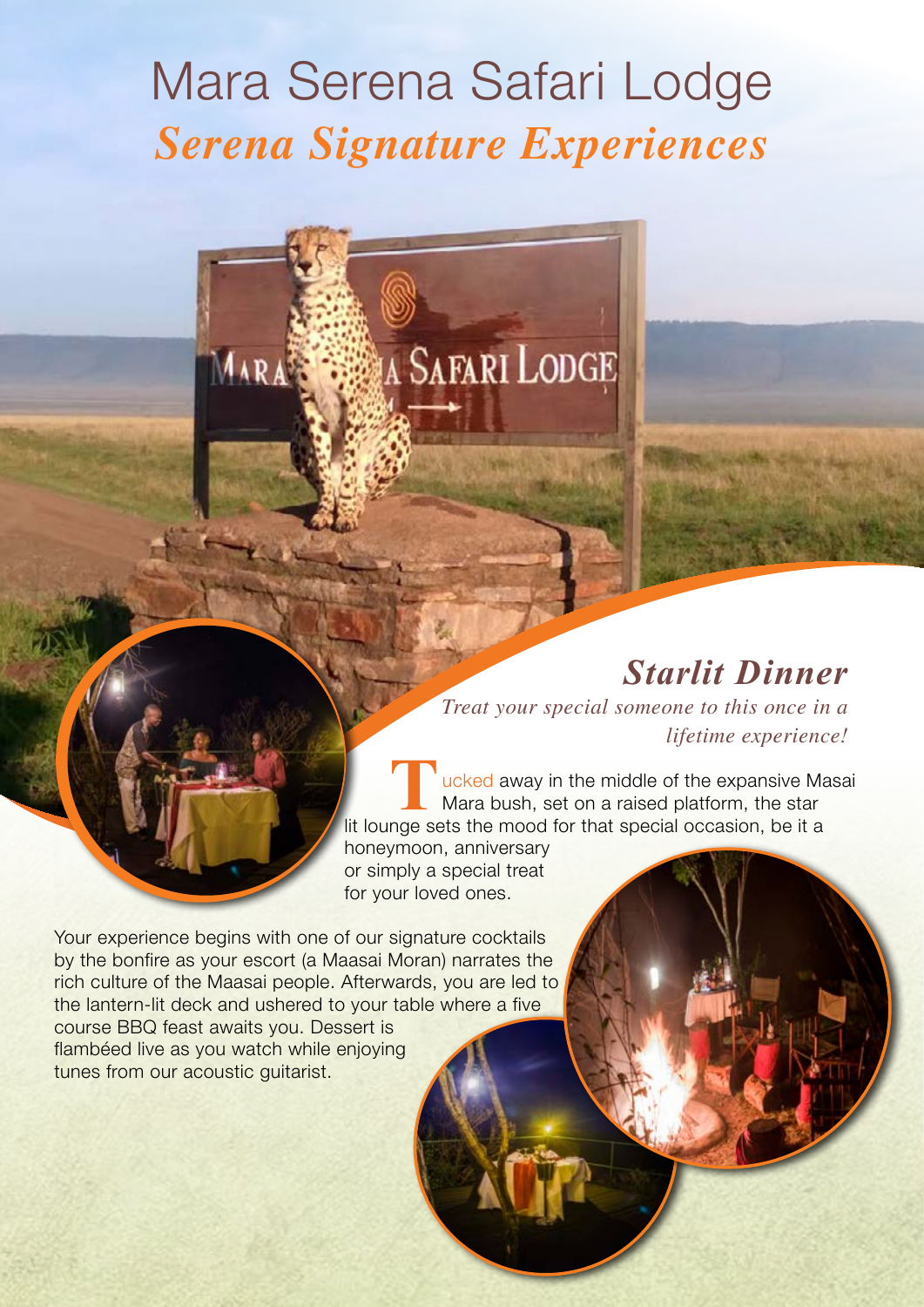# Mara Serena Safari Lodge *Serena Signature Experiences*

**A SAFARI LODGE** 

# *Starlit Dinner*

*Treat your special someone to this once in a lifetime experience!*

ucked away in the middle of the expansive Masai Mara bush, set on a raised platform, the star lit lounge sets the mood for that special occasion, be it a

honeymoon, anniversary or simply a special treat for your loved ones.

Your experience begins with one of our signature cocktails by the bonfire as your escort (a Maasai Moran) narrates the rich culture of the Maasai people. Afterwards, you are led to the lantern-lit deck and ushered to your table where a five course BBQ feast awaits you. Dessert is flambéed live as you watch while enjoying tunes from our acoustic quitarist.

MARA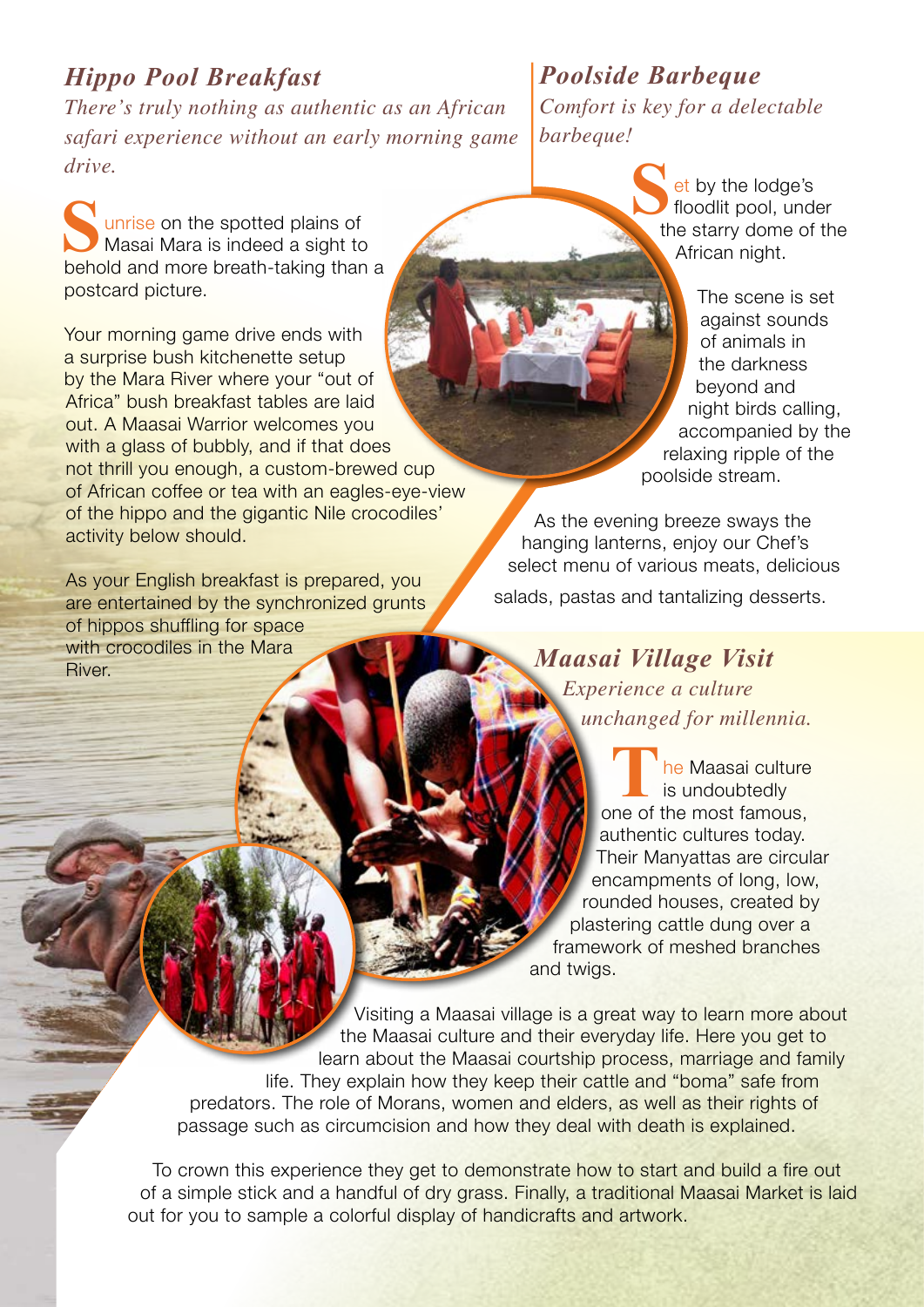#### *Hippo Pool Breakfast*

*There's truly nothing as authentic as an African safari experience without an early morning game drive.*

unrise on the spotted plains of Masai Mara is indeed a sight to behold and more breath-taking than a postcard picture.

Your morning game drive ends with a surprise bush kitchenette setup by the Mara River where your "out of Africa" bush breakfast tables are laid out. A Maasai Warrior welcomes you with a glass of bubbly, and if that does not thrill you enough, a custom-brewed cup of African coffee or tea with an eagles-eye-view of the hippo and the gigantic Nile crocodiles' activity below should.

As your English breakfast is prepared, you are entertained by the synchronized grunts of hippos shuffling for space with crocodiles in the Mara River.

#### *Poolside Barbeque Comfort is key for a delectable barbeque!*

**et by the lodge's** floodlit pool, under the starry dome of the African night.

The scene is set against sounds of animals in the darkness beyond and night birds calling, accompanied by the relaxing ripple of the poolside stream.

As the evening breeze sways the hanging lanterns, enjoy our Chef's select menu of various meats, delicious

salads, pastas and tantalizing desserts.

*Maasai Village Visit*

*Experience a culture unchanged for millennia.*

**he Maasai culture** is undoubtedly one of the most famous, authentic cultures today. Their Manyattas are circular encampments of long, low, rounded houses, created by plastering cattle dung over a framework of meshed branches and twigs.

Visiting a Maasai village is a great way to learn more about the Maasai culture and their everyday life. Here you get to learn about the Maasai courtship process, marriage and family life. They explain how they keep their cattle and "boma" safe from predators. The role of Morans, women and elders, as well as their rights of passage such as circumcision and how they deal with death is explained.

To crown this experience they get to demonstrate how to start and build a fire out of a simple stick and a handful of dry grass. Finally, a traditional Maasai Market is laid out for you to sample a colorful display of handicrafts and artwork.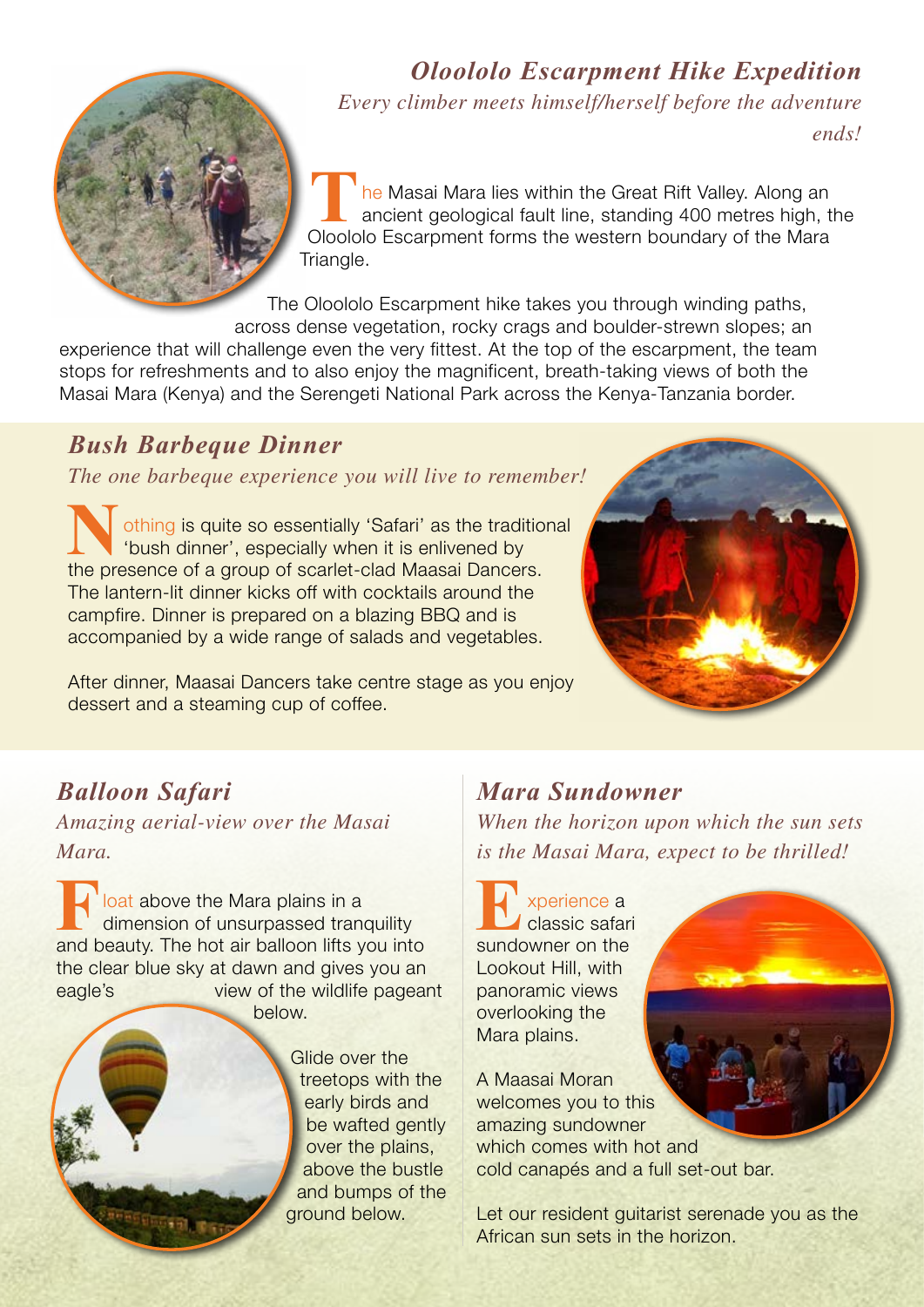

#### *Oloololo Escarpment Hike Expedition*

*Every climber meets himself/herself before the adventure* 

*ends!*

he Masai Mara lies within the Great Rift Valley. Along an ancient geological fault line, standing 400 metres high, the Oloololo Escarpment forms the western boundary of the Mara Triangle.

The Oloololo Escarpment hike takes you through winding paths, across dense vegetation, rocky crags and boulder-strewn slopes; an

experience that will challenge even the very fittest. At the top of the escarpment, the team stops for refreshments and to also enjoy the magnificent, breath-taking views of both the Masai Mara (Kenya) and the Serengeti National Park across the Kenya-Tanzania border.

### *Bush Barbeque Dinner*

*The one barbeque experience you will live to remember!*

othing is quite so essentially 'Safari' as the traditional 'bush dinner', especially when it is enlivened by the presence of a group of scarlet-clad Maasai Dancers. The lantern-lit dinner kicks off with cocktails around the campfire. Dinner is prepared on a blazing BBQ and is accompanied by a wide range of salads and vegetables.

After dinner, Maasai Dancers take centre stage as you enjoy dessert and a steaming cup of coffee.



# *Balloon Safari*

*Amazing aerial-view over the Masai Mara.*

**Foliat** above the Mara plains in a dimension of unsurpassed transport and beauty. The bot air balloon lifts you dimension of unsurpassed tranquility and beauty. The hot air balloon lifts you into the clear blue sky at dawn and gives you an eagle's view of the wildlife pageant below.

> Glide over the treetops with the early birds and be wafted gently over the plains, above the bustle and bumps of the ground below.

#### *Mara Sundowner*

*When the horizon upon which the sun sets is the Masai Mara, expect to be thrilled!*

**E**xperience a<br>
sundowner on the classic safari Lookout Hill, with panoramic views overlooking the Mara plains.

A Maasai Moran welcomes you to this amazing sundowner which comes with hot and cold canapés and a full set-out bar.

Let our resident guitarist serenade you as the African sun sets in the horizon.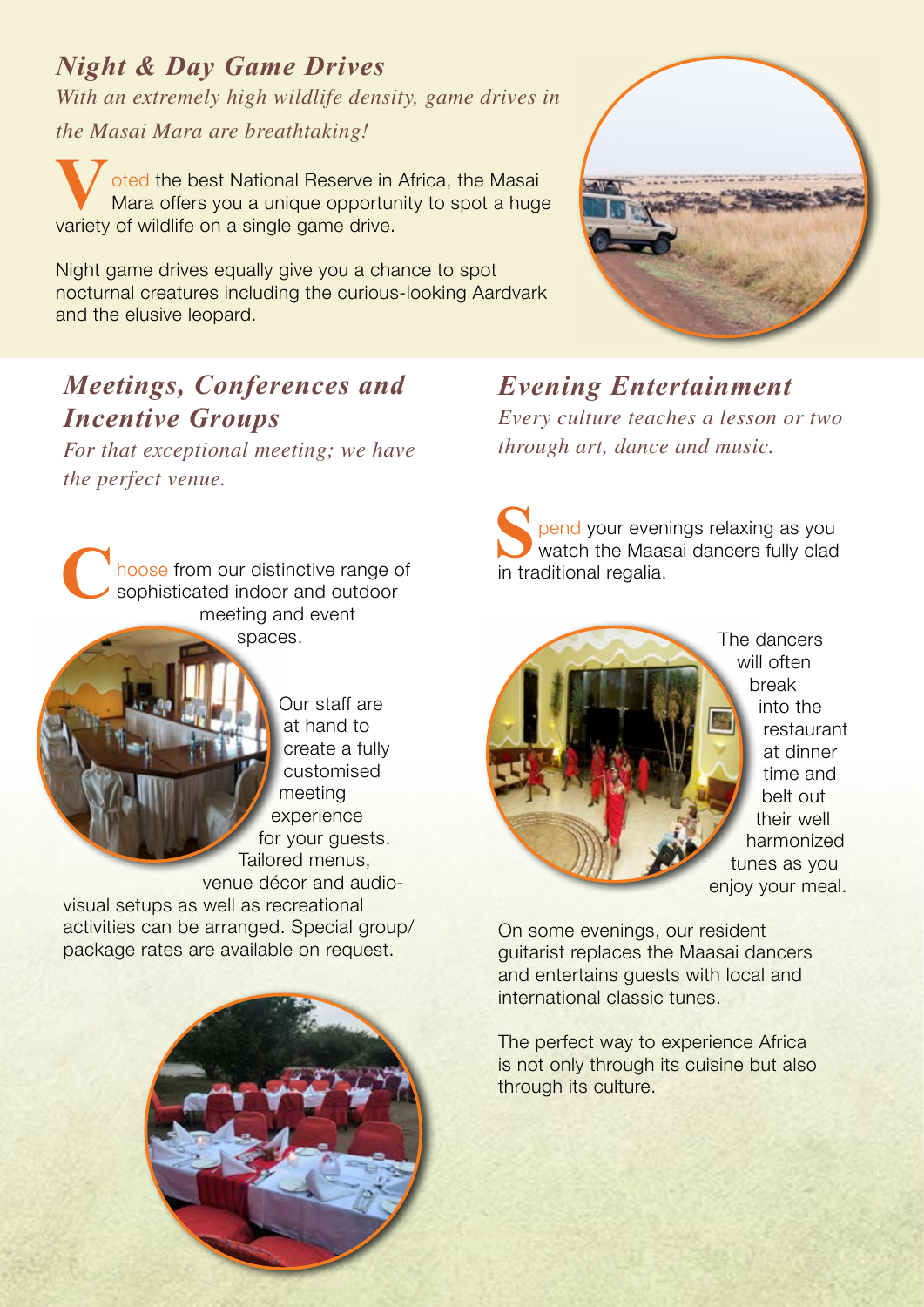*Night & Day Game Drives With an extremely high wildlife density, game drives in the Masai Mara are breathtaking!*

**V**oted the best National Reserve in Africa, the Masai Mara offers you a unique opportunity to spot a huge variety of wildlife on a single game drive.

Night game drives equally give you a chance to spot nocturnal creatures including the curious-looking Aardvark and the elusive leopard.



## *Meetings, Conferences and Incentive Groups*

*For that exceptional meeting; we have the perfect venue.*

hoose from our distinctive range of sophisticated indoor and outdoor meeting and event spaces.

> Our staff are at hand to create a fully customised meeting experience for your guests. Tailored menus, venue décor and audio-

visual setups as well as recreational activities can be arranged. Special group/ package rates are available on request.



*Evening Entertainment Every culture teaches a lesson or two through art, dance and music.* 

**S** pend your evenings relaxing as you watch the Maasai dancers fully clad in traditional regalia.



The dancers will often break into the restaurant at dinner time and belt out their well harmonized tunes as you enjoy your meal.

On some evenings, our resident guitarist replaces the Maasai dancers and entertains guests with local and international classic tunes.

The perfect way to experience Africa is not only through its cuisine but also through its culture.